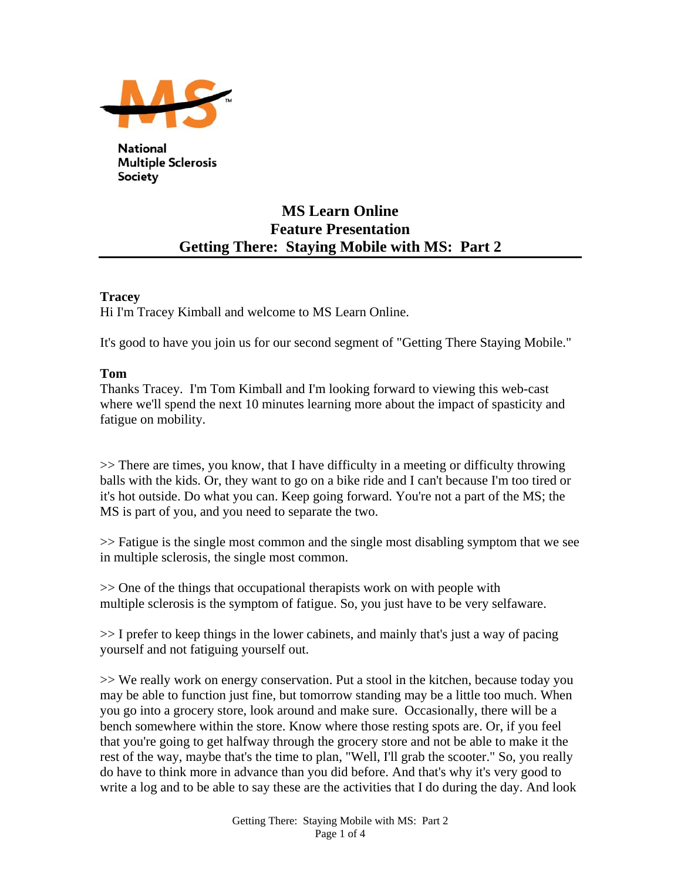

**National Multiple Sclerosis** Society

# **MS Learn Online Feature Presentation Getting There: Staying Mobile with MS: Part 2**

# **Tracey**

Hi I'm Tracey Kimball and welcome to MS Learn Online.

It's good to have you join us for our second segment of "Getting There Staying Mobile."

# **Tom**

Thanks Tracey. I'm Tom Kimball and I'm looking forward to viewing this web-cast where we'll spend the next 10 minutes learning more about the impact of spasticity and fatigue on mobility.

>> There are times, you know, that I have difficulty in a meeting or difficulty throwing balls with the kids. Or, they want to go on a bike ride and I can't because I'm too tired or it's hot outside. Do what you can. Keep going forward. You're not a part of the MS; the MS is part of you, and you need to separate the two.

>> Fatigue is the single most common and the single most disabling symptom that we see in multiple sclerosis, the single most common.

>> One of the things that occupational therapists work on with people with multiple sclerosis is the symptom of fatigue. So, you just have to be very selfaware.

>> I prefer to keep things in the lower cabinets, and mainly that's just a way of pacing yourself and not fatiguing yourself out.

>> We really work on energy conservation. Put a stool in the kitchen, because today you may be able to function just fine, but tomorrow standing may be a little too much. When you go into a grocery store, look around and make sure. Occasionally, there will be a bench somewhere within the store. Know where those resting spots are. Or, if you feel that you're going to get halfway through the grocery store and not be able to make it the rest of the way, maybe that's the time to plan, "Well, I'll grab the scooter." So, you really do have to think more in advance than you did before. And that's why it's very good to write a log and to be able to say these are the activities that I do during the day. And look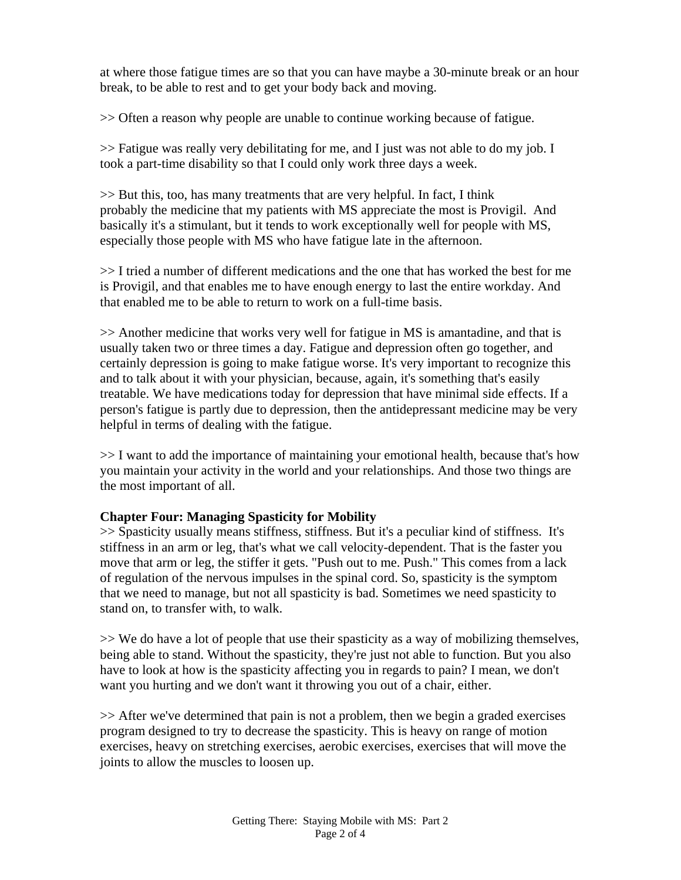at where those fatigue times are so that you can have maybe a 30-minute break or an hour break, to be able to rest and to get your body back and moving.

>> Often a reason why people are unable to continue working because of fatigue.

>> Fatigue was really very debilitating for me, and I just was not able to do my job. I took a part-time disability so that I could only work three days a week.

>> But this, too, has many treatments that are very helpful. In fact, I think probably the medicine that my patients with MS appreciate the most is Provigil. And basically it's a stimulant, but it tends to work exceptionally well for people with MS, especially those people with MS who have fatigue late in the afternoon.

>> I tried a number of different medications and the one that has worked the best for me is Provigil, and that enables me to have enough energy to last the entire workday. And that enabled me to be able to return to work on a full-time basis.

>> Another medicine that works very well for fatigue in MS is amantadine, and that is usually taken two or three times a day. Fatigue and depression often go together, and certainly depression is going to make fatigue worse. It's very important to recognize this and to talk about it with your physician, because, again, it's something that's easily treatable. We have medications today for depression that have minimal side effects. If a person's fatigue is partly due to depression, then the antidepressant medicine may be very helpful in terms of dealing with the fatigue.

>> I want to add the importance of maintaining your emotional health, because that's how you maintain your activity in the world and your relationships. And those two things are the most important of all.

# **Chapter Four: Managing Spasticity for Mobility**

>> Spasticity usually means stiffness, stiffness. But it's a peculiar kind of stiffness. It's stiffness in an arm or leg, that's what we call velocity-dependent. That is the faster you move that arm or leg, the stiffer it gets. "Push out to me. Push." This comes from a lack of regulation of the nervous impulses in the spinal cord. So, spasticity is the symptom that we need to manage, but not all spasticity is bad. Sometimes we need spasticity to stand on, to transfer with, to walk.

>> We do have a lot of people that use their spasticity as a way of mobilizing themselves, being able to stand. Without the spasticity, they're just not able to function. But you also have to look at how is the spasticity affecting you in regards to pain? I mean, we don't want you hurting and we don't want it throwing you out of a chair, either.

>> After we've determined that pain is not a problem, then we begin a graded exercises program designed to try to decrease the spasticity. This is heavy on range of motion exercises, heavy on stretching exercises, aerobic exercises, exercises that will move the joints to allow the muscles to loosen up.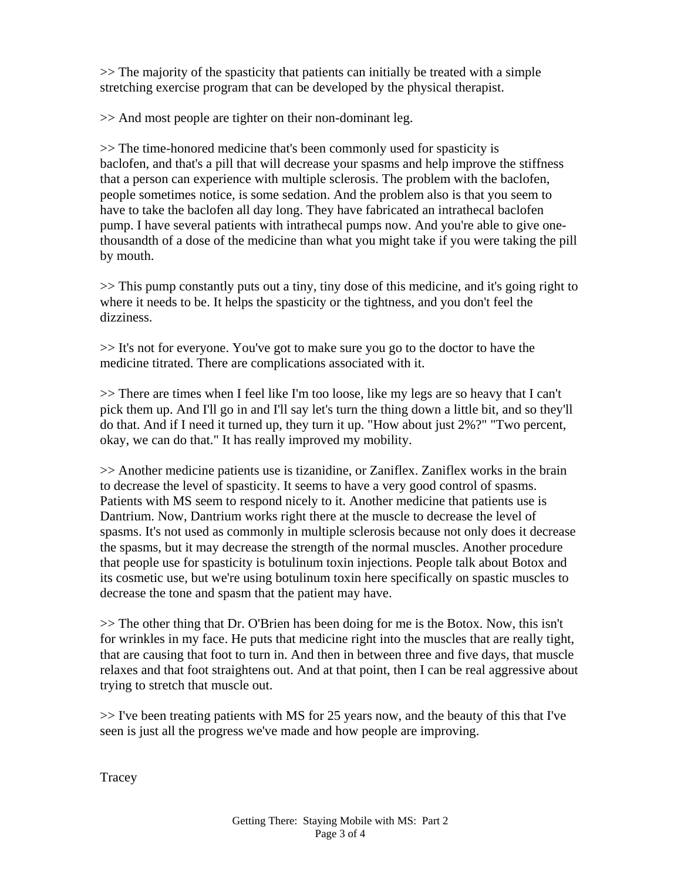>> The majority of the spasticity that patients can initially be treated with a simple stretching exercise program that can be developed by the physical therapist.

>> And most people are tighter on their non-dominant leg.

>> The time-honored medicine that's been commonly used for spasticity is baclofen, and that's a pill that will decrease your spasms and help improve the stiffness that a person can experience with multiple sclerosis. The problem with the baclofen, people sometimes notice, is some sedation. And the problem also is that you seem to have to take the baclofen all day long. They have fabricated an intrathecal baclofen pump. I have several patients with intrathecal pumps now. And you're able to give onethousandth of a dose of the medicine than what you might take if you were taking the pill by mouth.

>> This pump constantly puts out a tiny, tiny dose of this medicine, and it's going right to where it needs to be. It helps the spasticity or the tightness, and you don't feel the dizziness.

>> It's not for everyone. You've got to make sure you go to the doctor to have the medicine titrated. There are complications associated with it.

>> There are times when I feel like I'm too loose, like my legs are so heavy that I can't pick them up. And I'll go in and I'll say let's turn the thing down a little bit, and so they'll do that. And if I need it turned up, they turn it up. "How about just 2%?" "Two percent, okay, we can do that." It has really improved my mobility.

>> Another medicine patients use is tizanidine, or Zaniflex. Zaniflex works in the brain to decrease the level of spasticity. It seems to have a very good control of spasms. Patients with MS seem to respond nicely to it. Another medicine that patients use is Dantrium. Now, Dantrium works right there at the muscle to decrease the level of spasms. It's not used as commonly in multiple sclerosis because not only does it decrease the spasms, but it may decrease the strength of the normal muscles. Another procedure that people use for spasticity is botulinum toxin injections. People talk about Botox and its cosmetic use, but we're using botulinum toxin here specifically on spastic muscles to decrease the tone and spasm that the patient may have.

>> The other thing that Dr. O'Brien has been doing for me is the Botox. Now, this isn't for wrinkles in my face. He puts that medicine right into the muscles that are really tight, that are causing that foot to turn in. And then in between three and five days, that muscle relaxes and that foot straightens out. And at that point, then I can be real aggressive about trying to stretch that muscle out.

>> I've been treating patients with MS for 25 years now, and the beauty of this that I've seen is just all the progress we've made and how people are improving.

**Tracey**